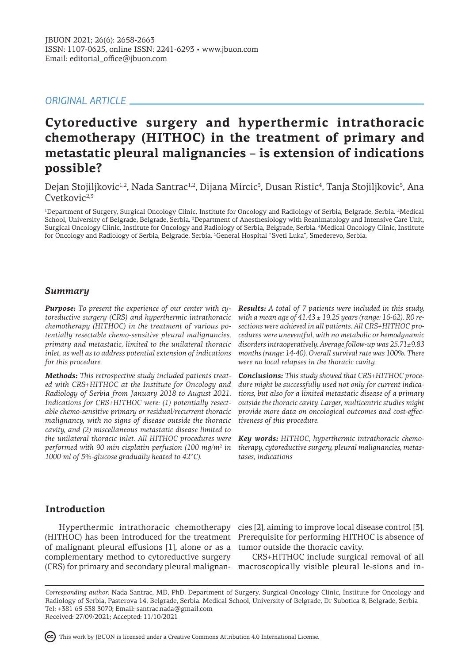# *ORIGINAL ARTICLE*

# **Cytoreductive surgery and hyperthermic intrathoracic chemotherapy (HITHOC) in the treatment of primary and metastatic pleural malignancies – is extension of indications possible?**

Dejan Stojiljkovic<sup>1,2</sup>, Nada Santrac<sup>1,2</sup>, Dijana Mircic<sup>3</sup>, Dusan Ristic<sup>4</sup>, Tanja Stojiljkovic<sup>5</sup>, Ana  $C$ vetkovi $c^{2,3}$ 

<sup>1</sup>Department of Surgery, Surgical Oncology Clinic, Institute for Oncology and Radiology of Serbia, Belgrade, Serbia. <sup>2</sup>Medical School, University of Belgrade, Belgrade, Serbia. <sup>3</sup>Department of Anesthesiology with Reanimatology and Intensive Care Unit, Surgical Oncology Clinic, Institute for Oncology and Radiology of Serbia, Belgrade, Serbia. <sup>4</sup> Medical Oncology Clinic, Institute for Oncology and Radiology of Serbia, Belgrade, Serbia. <sup>5</sup>General Hospital "Sveti Luka", Smederevo, Serbia.

### *Summary*

*Purpose: To present the experience of our center with cytoreductive surgery (CRS) and hyperthermic intrathoracic chemotherapy (HITHOC) in the treatment of various potentially resectable chemo-sensitive pleural malignancies, primary and metastatic, limited to the unilateral thoracic inlet, as well as to address potential extension of indications for this procedure.* 

*Methods: This retrospective study included patients treated with CRS+HITHOC at the Institute for Oncology and Radiology of Serbia from January 2018 to August 2021. Indications for CRS+HITHOC were: (1) potentially resectable chemo-sensitive primary or residual/recurrent thoracic malignancy, with no signs of disease outside the thoracic cavity, and (2) miscellaneous metastatic disease limited to the unilateral thoracic inlet. All HITHOC procedures were performed with 90 min cisplatin perfusion (100 mg/m2 in 1000 ml of 5%-glucose gradually heated to 42°C).*

*Results: A total of 7 patients were included in this study, with a mean age of 41.43 ± 19.25 years (range: 16-62). R0 resections were achieved in all patients. All CRS+HITHOC procedures were uneventful, with no metabolic or hemodynamic disorders intraoperatively. Average follow-up was 25.71±9.83 months (range: 14-40). Overall survival rate was 100%. There were no local relapses in the thoracic cavity.*

*Conclusions: This study showed that CRS+HITHOC procedure might be successfully used not only for current indications, but also for a limited metastatic disease of a primary outside the thoracic cavity. Larger, multicentric studies might provide more data on oncological outcomes and cost-effectiveness of this procedure.*

*Key words: HITHOC, hyperthermic intrathoracic chemotherapy, cytoreductive surgery, pleural malignancies, metastases, indications*

## **Introduction**

(HITHOC) has been introduced for the treatment Prerequisite for performing HITHOC is absence of of malignant pleural effusions [1], alone or as a tumor outside the thoracic cavity. complementary method to cytoreductive surgery

Hyperthermic intrathoracic chemotherapy cies [2], aiming to improve local disease control [3].

(CRS) for primary and secondary pleural malignan-macroscopically visible pleural le-sions and in-CRS+HITHOC include surgical removal of all

*Corresponding author:* Nada Santrac, MD, PhD. Department of Surgery, Surgical Oncology Clinic, Institute for Oncology and Radiology of Serbia, Pasterova 14, Belgrade, Serbia. Medical School, University of Belgrade, Dr Subotica 8, Belgrade, Serbia Tel: +381 65 538 3070; Email: santrac.nada@gmail.com Received: 27/09/2021; Accepted: 11/10/2021

This work by JBUON is licensed under a Creative Commons Attribution 4.0 International License.

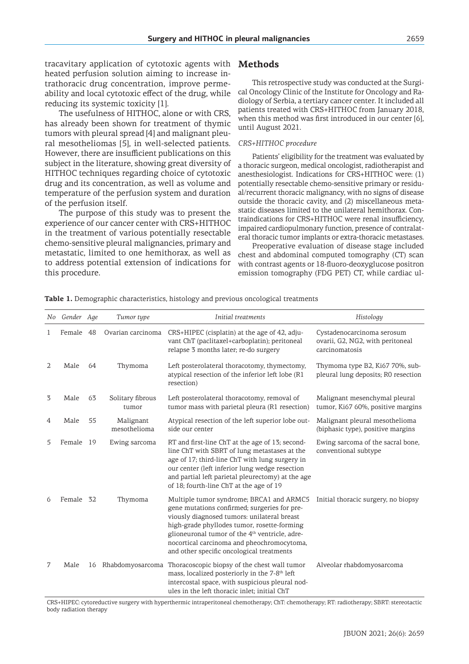tracavitary application of cytotoxic agents with heated perfusion solution aiming to increase intrathoracic drug concentration, improve permeability and local cytotoxic effect of the drug, while reducing its systemic toxicity [1].

The usefulness of HITHOC, alone or with CRS, has already been shown for treatment of thymic tumors with pleural spread [4] and malignant pleural mesotheliomas [5], in well-selected patients. However, there are insufficient publications on this subject in the literature, showing great diversity of HITHOC techniques regarding choice of cytotoxic drug and its concentration, as well as volume and temperature of the perfusion system and duration of the perfusion itself.

The purpose of this study was to present the experience of our cancer center with CRS+HITHOC in the treatment of various potentially resectable chemo-sensitive pleural malignancies, primary and metastatic, limited to one hemithorax, as well as to address potential extension of indications for this procedure.

### **Methods**

This retrospective study was conducted at the Surgical Oncology Clinic of the Institute for Oncology and Radiology of Serbia, a tertiary cancer center. It included all patients treated with CRS+HITHOC from January 2018, when this method was first introduced in our center [6], until August 2021.

#### *CRS+HITHOC procedure*

Patients' eligibility for the treatment was evaluated by a thoracic surgeon, medical oncologist, radiotherapist and anesthesiologist. Indications for CRS+HITHOC were: (1) potentially resectable chemo-sensitive primary or residual/recurrent thoracic malignancy, with no signs of disease outside the thoracic cavity, and (2) miscellaneous metastatic diseases limited to the unilateral hemithorax. Contraindications for CRS+HITHOC were renal insufficiency, impaired cardiopulmonary function, presence of contralateral thoracic tumor implants or extra-thoracic metastases.

Preoperative evaluation of disease stage included chest and abdominal computed tomography (CT) scan with contrast agents or 18-fluoro-deoxyglucose positron emission tomography (FDG PET) CT, while cardiac ul-

| No             | Gender Age |      | Tumor type                | Initial treatments                                                                                                                                                                                                                                                                                                                              | Histology                                                                        |  |
|----------------|------------|------|---------------------------|-------------------------------------------------------------------------------------------------------------------------------------------------------------------------------------------------------------------------------------------------------------------------------------------------------------------------------------------------|----------------------------------------------------------------------------------|--|
| 1              | Female     | 48   | Ovarian carcinoma         | CRS+HIPEC (cisplatin) at the age of 42, adju-<br>vant ChT (paclitaxel+carboplatin); peritoneal<br>relapse 3 months later; re-do surgery                                                                                                                                                                                                         | Cystadenocarcinoma serosum<br>ovarii, G2, NG2, with peritoneal<br>carcinomatosis |  |
| $\mathfrak{D}$ | Male       | 64   | Thymoma                   | Left posterolateral thoracotomy, thymectomy,<br>atypical resection of the inferior left lobe (R1<br>resection)                                                                                                                                                                                                                                  | Thymoma type B2, Ki67 70%, sub-<br>pleural lung deposits; R0 resection           |  |
| 3              | Male       | 63   | Solitary fibrous<br>tumor | Left posterolateral thoracotomy, removal of<br>tumor mass with parietal pleura (R1 resection)                                                                                                                                                                                                                                                   | Malignant mesenchymal pleural<br>tumor, Ki67 60%, positive margins               |  |
| 4              | Male       | 55   | Malignant<br>mesothelioma | Atypical resection of the left superior lobe out-<br>side our center                                                                                                                                                                                                                                                                            | Malignant pleural mesothelioma<br>(biphasic type), positive margins              |  |
| 5              | Female     | - 19 | Ewing sarcoma             | RT and first-line ChT at the age of 13; second-<br>line ChT with SBRT of lung metastases at the<br>age of 17; third-line ChT with lung surgery in<br>our center (left inferior lung wedge resection<br>and partial left parietal pleurectomy) at the age<br>of 18; fourth-line ChT at the age of 19                                             | Ewing sarcoma of the sacral bone,<br>conventional subtype                        |  |
| 6              | Female 32  |      | Thymoma                   | Multiple tumor syndrome; BRCA1 and ARMC5<br>gene mutations confirmed; surgeries for pre-<br>viously diagnosed tumors: unilateral breast<br>high-grade phyllodes tumor, rosette-forming<br>glioneuronal tumor of the 4 <sup>th</sup> ventricle, adre-<br>nocortical carcinoma and pheochromocytoma,<br>and other specific oncological treatments | Initial thoracic surgery, no biopsy                                              |  |
| 7              | Male       | 16   | Rhabdomyosarcoma          | Thoracoscopic biopsy of the chest wall tumor<br>mass, localized posteriorly in the 7-8 <sup>th</sup> left<br>intercostal space, with suspicious pleural nod-<br>ules in the left thoracic inlet; initial ChT                                                                                                                                    | Alveolar rhabdomyosarcoma                                                        |  |

**Table 1.** Demographic characteristics, histology and previous oncological treatments

CRS+HIPEC: cytoreductive surgery with hyperthermic intraperitoneal chemotherapy; ChT: chemotherapy; RT: radiotherapy; SBRT: stereotactic body radiation therapy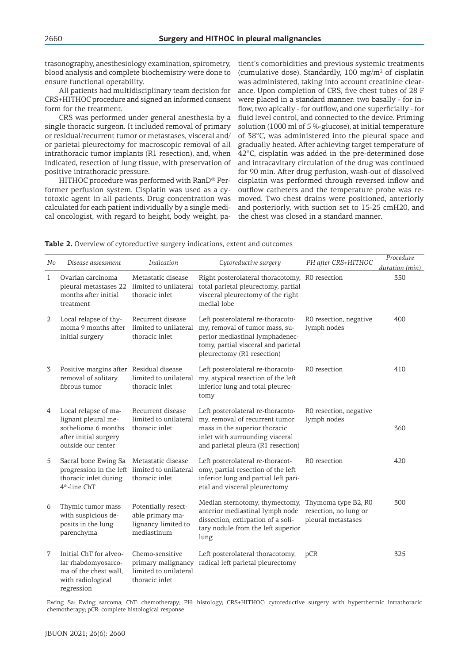trasonography, anesthesiology examination, spirometry, blood analysis and complete biochemistry were done to ensure functional operability.

All patients had multidisciplinary team decision for CRS+HITHOC procedure and signed an informed consent form for the treatment.

CRS was performed under general anesthesia by a single thoracic surgeon. It included removal of primary or residual/recurrent tumor or metastases, visceral and/ or parietal pleurectomy for macroscopic removal of all intrathoracic tumor implants (R1 resection), and, when indicated, resection of lung tissue, with preservation of positive intrathoracic pressure.

HITHOC procedure was performed with RanD® Performer perfusion system. Cisplatin was used as a cytotoxic agent in all patients. Drug concentration was calculated for each patient individually by a single medical oncologist, with regard to height, body weight, pa-

tient's comorbidities and previous systemic treatments (cumulative dose). Standardly,  $100 \text{ mg/m}^2$  of cisplatin was administered, taking into account creatinine clearance. Upon completion of CRS, five chest tubes of 28 F were placed in a standard manner: two basally - for inflow, two apically - for outflow, and one superficially - for fluid level control, and connected to the device. Priming solution (1000 ml of 5 %-glucose), at initial temperature of 38°C, was administered into the pleural space and gradually heated. After achieving target temperature of 42°C, cisplatin was added in the pre-determined dose and intracavitary circulation of the drug was continued for 90 min. After drug perfusion, wash-out of dissolved cisplatin was performed through reversed inflow and outflow catheters and the temperature probe was removed. Two chest drains were positioned, anteriorly and posteriorly, with suction set to 15-25 cmH20, and the chest was closed in a standard manner.

| No           | Disease assessment                                                                                                          | Indication                                                                       | Cytoreductive surgery                                                                                                                                                         | PH after CRS+HITHOC                                                | Procedure<br>duration (min) |
|--------------|-----------------------------------------------------------------------------------------------------------------------------|----------------------------------------------------------------------------------|-------------------------------------------------------------------------------------------------------------------------------------------------------------------------------|--------------------------------------------------------------------|-----------------------------|
| $\mathbf{1}$ | Ovarian carcinoma<br>pleural metastases 22<br>months after initial<br>treatment                                             | Metastatic disease<br>limited to unilateral<br>thoracic inlet                    | Right posterolateral thoracotomy, R0 resection<br>total parietal pleurectomy, partial<br>visceral pleurectomy of the right<br>medial lobe                                     |                                                                    | 350                         |
| 2            | Local relapse of thy-<br>moma 9 months after<br>initial surgery                                                             | Recurrent disease<br>limited to unilateral<br>thoracic inlet                     | Left posterolateral re-thoracoto-<br>my, removal of tumor mass, su-<br>perior mediastinal lymphadenec-<br>tomy, partial visceral and parietal<br>pleurectomy (R1 resection)   | R0 resection, negative<br>lymph nodes                              | 400                         |
| 3            | Positive margins after Residual disease<br>removal of solitary<br>fibrous tumor                                             | limited to unilateral<br>thoracic inlet                                          | Left posterolateral re-thoracoto-<br>my, atypical resection of the left<br>inferior lung and total pleurec-<br>tomy                                                           | R0 resection                                                       | 410                         |
| 4            | Local relapse of ma-<br>lignant pleural me-<br>sothelioma 6 months<br>after initial surgery<br>outside our center           | Recurrent disease<br>limited to unilateral<br>thoracic inlet                     | Left posterolateral re-thoracoto-<br>my, removal of recurrent tumor<br>mass in the superior thoracic<br>inlet with surrounding visceral<br>and parietal pleura (R1 resection) | R0 resection, negative<br>lymph nodes                              | 360                         |
| 5            | Sacral bone Ewing Sa<br>progression in the left limited to unilateral<br>thoracic inlet during<br>4 <sup>th</sup> -line ChT | Metastatic disease<br>thoracic inlet                                             | Left posterolateral re-thoracot-<br>omy, partial resection of the left<br>inferior lung and partial left pari-<br>etal and visceral pleurectomy                               | R0 resection                                                       | 420                         |
| 6            | Thymic tumor mass<br>with suspicious de-<br>posits in the lung<br>parenchyma                                                | Potentially resect-<br>able primary ma-<br>lignancy limited to<br>mediastinum    | Median sternotomy, thymectomy,<br>anterior mediastinal lymph node<br>dissection, extirpation of a soli-<br>tary nodule from the left superior<br>lung                         | Thymoma type B2, R0<br>resection, no lung or<br>pleural metastases | 300                         |
| 7            | Initial ChT for alveo-<br>lar rhabdomyosarco-<br>ma of the chest wall,<br>with radiological<br>regression                   | Chemo-sensitive<br>primary malignancy<br>limited to unilateral<br>thoracic inlet | Left posterolateral thoracotomy,<br>radical left parietal pleurectomy                                                                                                         | pCR                                                                | 325                         |

**Table 2.** Overview of cytoreductive surgery indications, extent and outcomes

Ewing Sa: Ewing sarcoma; ChT: chemotherapy; PH: histology; CRS+HITHOC: cytoreductive surgery with hyperthermic intrathoracic chemotherapy; pCR: complete histological response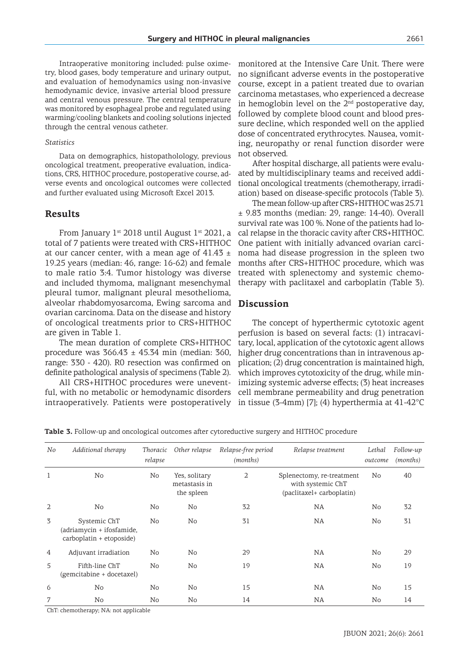Intraoperative monitoring included: pulse oximetry, blood gases, body temperature and urinary output, and evaluation of hemodynamics using non-invasive hemodynamic device, invasive arterial blood pressure and central venous pressure. The central temperature was monitored by esophageal probe and regulated using warming/cooling blankets and cooling solutions injected through the central venous catheter.

#### *Statistics*

Data on demographics, histopatholology, previous oncological treatment, preoperative evaluation, indications, CRS, HITHOC procedure, postoperative course, adverse events and oncological outcomes were collected and further evaluated using Microsoft Excel 2013.

### **Results**

From January 1st 2018 until August 1st 2021, a total of 7 patients were treated with CRS+HITHOC at our cancer center, with a mean age of  $41.43 \pm$ 19.25 years (median: 46, range: 16-62) and female to male ratio 3:4. Tumor histology was diverse and included thymoma, malignant mesenchymal pleural tumor, malignant pleural mesothelioma, alveolar rhabdomyosarcoma, Ewing sarcoma and ovarian carcinoma. Data on the disease and history of oncological treatments prior to CRS+HITHOC are given in Table 1.

The mean duration of complete CRS+HITHOC procedure was  $366.43 \pm 45.34$  min (median: 360, range: 330 - 420). R0 resection was confirmed on definite pathological analysis of specimens (Table 2).

All CRS+HITHOC procedures were uneventful, with no metabolic or hemodynamic disorders monitored at the Intensive Care Unit. There were no significant adverse events in the postoperative course, except in a patient treated due to ovarian carcinoma metastases, who experienced a decrease in hemoglobin level on the  $2<sup>nd</sup>$  postoperative day, followed by complete blood count and blood pressure decline, which responded well on the applied dose of concentrated erythrocytes. Nausea, vomiting, neuropathy or renal function disorder were not observed.

After hospital discharge, all patients were evaluated by multidisciplinary teams and received additional oncological treatments (chemotherapy, irradiation) based on disease-specific protocols (Table 3).

The mean follow-up after CRS+HITHOC was 25.71 ± 9.83 months (median: 29, range: 14-40). Overall survival rate was 100 %. None of the patients had local relapse in the thoracic cavity after CRS+HITHOC. One patient with initially advanced ovarian carcinoma had disease progression in the spleen two months after CRS+HITHOC procedure, which was treated with splenectomy and systemic chemotherapy with paclitaxel and carboplatin (Table 3).

### **Discussion**

intraoperatively. Patients were postoperatively in tissue (3-4mm) [7]; (4) hyperthermia at 41-42°C The concept of hyperthermic cytotoxic agent perfusion is based on several facts: (1) intracavitary, local, application of the cytotoxic agent allows higher drug concentrations than in intravenous application; (2) drug concentration is maintained high, which improves cytotoxicity of the drug, while minimizing systemic adverse effects; (3) heat increases cell membrane permeability and drug penetration

**Table 3.** Follow-up and oncological outcomes after cytoreductive surgery and HITHOC procedure

| No | Additional therapy                                                    | Thoracic<br>relapse | Other relapse                                | Relapse-free period<br>(months) | Relapse treatment                                                           | Lethal<br>outcome | Follow-up<br>(months) |
|----|-----------------------------------------------------------------------|---------------------|----------------------------------------------|---------------------------------|-----------------------------------------------------------------------------|-------------------|-----------------------|
| 1  | No                                                                    | No                  | Yes, solitary<br>metastasis in<br>the spleen | 2                               | Splenectomy, re-treatment<br>with systemic ChT<br>(paclitaxel+ carboplatin) | No                | 40                    |
| 2  | No                                                                    | No                  | No                                           | 32                              | <b>NA</b>                                                                   | No.               | 32                    |
| 3  | Systemic ChT<br>(adriamycin + ifosfamide,<br>carboplatin + etoposide) | No.                 | No.                                          | 31                              | NA                                                                          | No.               | 31                    |
| 4  | Adjuvant irradiation                                                  | No.                 | N <sub>0</sub>                               | 29                              | <b>NA</b>                                                                   | No.               | 29                    |
| 5  | Fifth-line ChT<br>(gemcitabine + docetaxel)                           | No                  | No                                           | 19                              | NA                                                                          | No                | 19                    |
| 6  | No                                                                    | No                  | No                                           | 15                              | <b>NA</b>                                                                   | No                | 15                    |
| 7  | No                                                                    | No.                 | No                                           | 14                              | NA                                                                          | No.               | 14                    |

ChT: chemotherapy; NA: not applicable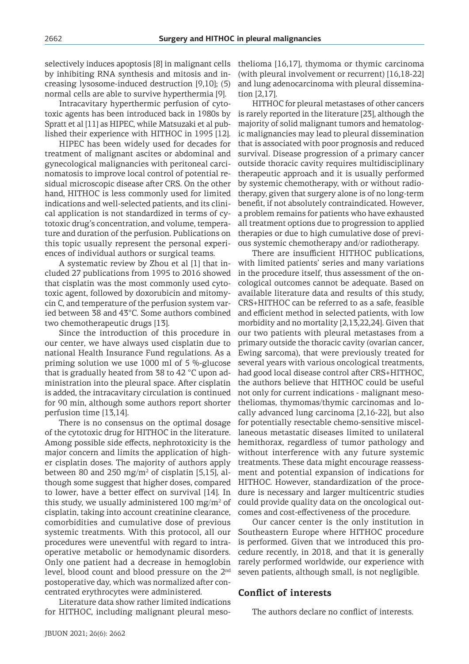selectively induces apoptosis [8] in malignant cells by inhibiting RNA synthesis and mitosis and increasing lysosome-induced destruction [9,10]; (5) normal cells are able to survive hyperthermia [9].

Intracavitary hyperthermic perfusion of cytotoxic agents has been introduced back in 1980s by Spratt et al [11] as HIPEC, while Matsuzaki et al published their experience with HITHOC in 1995 [12].

HIPEC has been widely used for decades for treatment of malignant ascites or abdominal and gynecological malignancies with peritoneal carcinomatosis to improve local control of potential residual microscopic disease after CRS. On the other hand, HITHOC is less commonly used for limited indications and well-selected patients, and its clinical application is not standardized in terms of cytotoxic drug's concentration, and volume, temperature and duration of the perfusion. Publications on this topic usually represent the personal experiences of individual authors or surgical teams.

A systematic review by Zhou et al [1] that included 27 publications from 1995 to 2016 showed that cisplatin was the most commonly used cytotoxic agent, followed by doxorubicin and mitomycin C, and temperature of the perfusion system varied between 38 and 43°C. Some authors combined two chemotherapeutic drugs [13].

Since the introduction of this procedure in our center, we have always used cisplatin due to national Health Insurance Fund regulations. As a priming solution we use 1000 ml of 5 %-glucose that is gradually heated from 38 to 42 °C upon administration into the pleural space. After cisplatin is added, the intracavitary circulation is continued for 90 min, although some authors report shorter perfusion time [13,14].

There is no consensus on the optimal dosage of the cytotoxic drug for HITHOC in the literature. Among possible side effects, nephrotoxicity is the major concern and limits the application of higher cisplatin doses. The majority of authors apply between 80 and 250 mg/m $^2$  of cisplatin [5,15], although some suggest that higher doses, compared to lower, have a better effect on survival [14]. In this study, we usually administered  $100 \text{ mg/m}^2$  of cisplatin, taking into account creatinine clearance, comorbidities and cumulative dose of previous systemic treatments. With this protocol, all our procedures were uneventful with regard to intraoperative metabolic or hemodynamic disorders. Only one patient had a decrease in hemoglobin level, blood count and blood pressure on the 2nd postoperative day, which was normalized after concentrated erythrocytes were administered.

Literature data show rather limited indications for HITHOC, including malignant pleural mesothelioma [16,17], thymoma or thymic carcinoma (with pleural involvement or recurrent) [16,18-22] and lung adenocarcinoma with pleural dissemination [2,17].

HITHOC for pleural metastases of other cancers is rarely reported in the literature [23], although the majority of solid malignant tumors and hematologic malignancies may lead to pleural dissemination that is associated with poor prognosis and reduced survival. Disease progression of a primary cancer outside thoracic cavity requires multidisciplinary therapeutic approach and it is usually performed by systemic chemotherapy, with or without radiotherapy, given that surgery alone is of no long-term benefit, if not absolutely contraindicated. However, a problem remains for patients who have exhausted all treatment options due to progression to applied therapies or due to high cumulative dose of previous systemic chemotherapy and/or radiotherapy.

There are insufficient HITHOC publications, with limited patients' series and many variations in the procedure itself, thus assessment of the oncological outcomes cannot be adequate. Based on available literature data and results of this study, CRS+HITHOC can be referred to as a safe, feasible and efficient method in selected patients, with low morbidity and no mortality [2,13,22,24]. Given that our two patients with pleural metastases from a primary outside the thoracic cavity (ovarian cancer, Ewing sarcoma), that were previously treated for several years with various oncological treatments, had good local disease control after CRS+HITHOC, the authors believe that HITHOC could be useful not only for current indications - malignant mesotheliomas, thymomas/thymic carcinomas and locally advanced lung carcinoma [2,16-22], but also for potentially resectable chemo-sensitive miscellaneous metastatic diseases limited to unilateral hemithorax, regardless of tumor pathology and without interference with any future systemic treatments. These data might encourage reassessment and potential expansion of indications for HITHOC. However, standardization of the procedure is necessary and larger multicentric studies could provide quality data on the oncological outcomes and cost-effectiveness of the procedure.

Our cancer center is the only institution in Southeastern Europe where HITHOC procedure is performed. Given that we introduced this procedure recently, in 2018, and that it is generally rarely performed worldwide, our experience with seven patients, although small, is not negligible.

### **Conflict of interests**

The authors declare no conflict of interests.